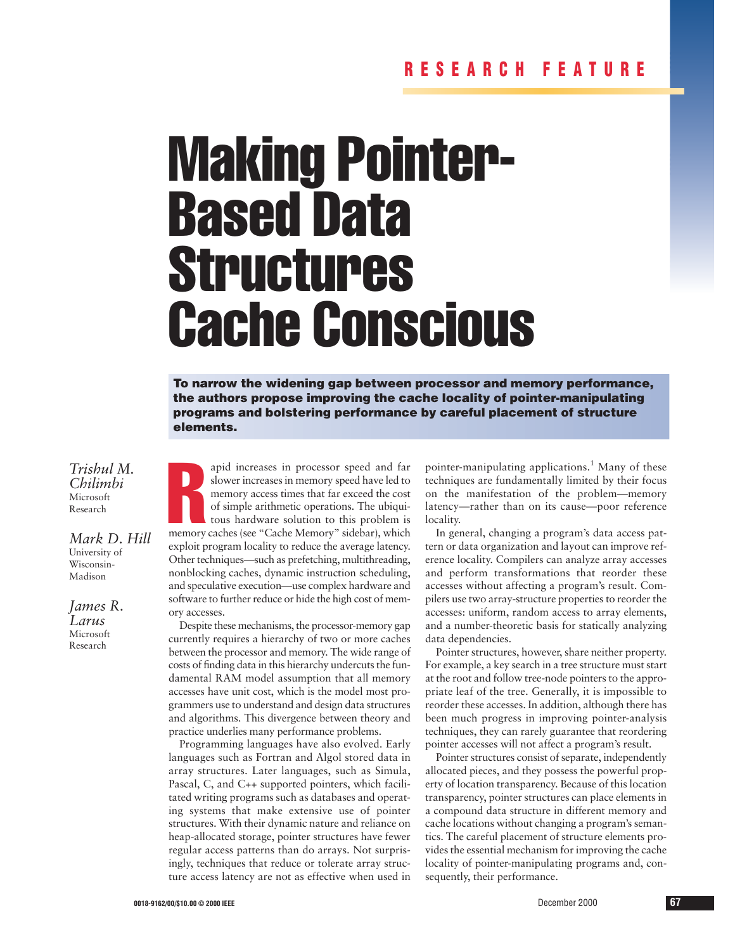# Making Pointer-Based Data Structures Cache Conscious

**To narrow the widening gap between processor and memory performance, the authors propose improving the cache locality of pointer-manipulating programs and bolstering performance by careful placement of structure elements.**

*Trishul M. Chilimbi* Microsoft Research

*Mark D. Hill* University of Wisconsin-Madison

*James R. Larus* Microsoft Research

apid increases in processor speed and far<br>slower increases in memory speed have led to<br>memory access times that far exceed the cost<br>of simple arithmetic operations. The ubiqui-<br>tous hardware solution to this problem is<br>mem apid increases in processor speed and far slower increases in memory speed have led to memory access times that far exceed the cost of simple arithmetic operations. The ubiquitous hardware solution to this problem is exploit program locality to reduce the average latency. Other techniques—such as prefetching, multithreading, nonblocking caches, dynamic instruction scheduling, and speculative execution—use complex hardware and software to further reduce or hide the high cost of memory accesses.

Despite these mechanisms, the processor-memory gap currently requires a hierarchy of two or more caches between the processor and memory. The wide range of costs of finding data in this hierarchy undercuts the fundamental RAM model assumption that all memory accesses have unit cost, which is the model most programmers use to understand and design data structures and algorithms. This divergence between theory and practice underlies many performance problems.

Programming languages have also evolved. Early languages such as Fortran and Algol stored data in array structures. Later languages, such as Simula, Pascal, C, and C++ supported pointers, which facilitated writing programs such as databases and operating systems that make extensive use of pointer structures. With their dynamic nature and reliance on heap-allocated storage, pointer structures have fewer regular access patterns than do arrays. Not surprisingly, techniques that reduce or tolerate array structure access latency are not as effective when used in

pointer-manipulating applications.<sup>1</sup> Many of these techniques are fundamentally limited by their focus on the manifestation of the problem—memory latency—rather than on its cause—poor reference locality.

In general, changing a program's data access pattern or data organization and layout can improve reference locality. Compilers can analyze array accesses and perform transformations that reorder these accesses without affecting a program's result. Compilers use two array-structure properties to reorder the accesses: uniform, random access to array elements, and a number-theoretic basis for statically analyzing data dependencies.

Pointer structures, however, share neither property. For example, a key search in a tree structure must start at the root and follow tree-node pointers to the appropriate leaf of the tree. Generally, it is impossible to reorder these accesses. In addition, although there has been much progress in improving pointer-analysis techniques, they can rarely guarantee that reordering pointer accesses will not affect a program's result.

Pointer structures consist of separate, independently allocated pieces, and they possess the powerful property of location transparency. Because of this location transparency, pointer structures can place elements in a compound data structure in different memory and cache locations without changing a program's semantics. The careful placement of structure elements provides the essential mechanism for improving the cache locality of pointer-manipulating programs and, consequently, their performance.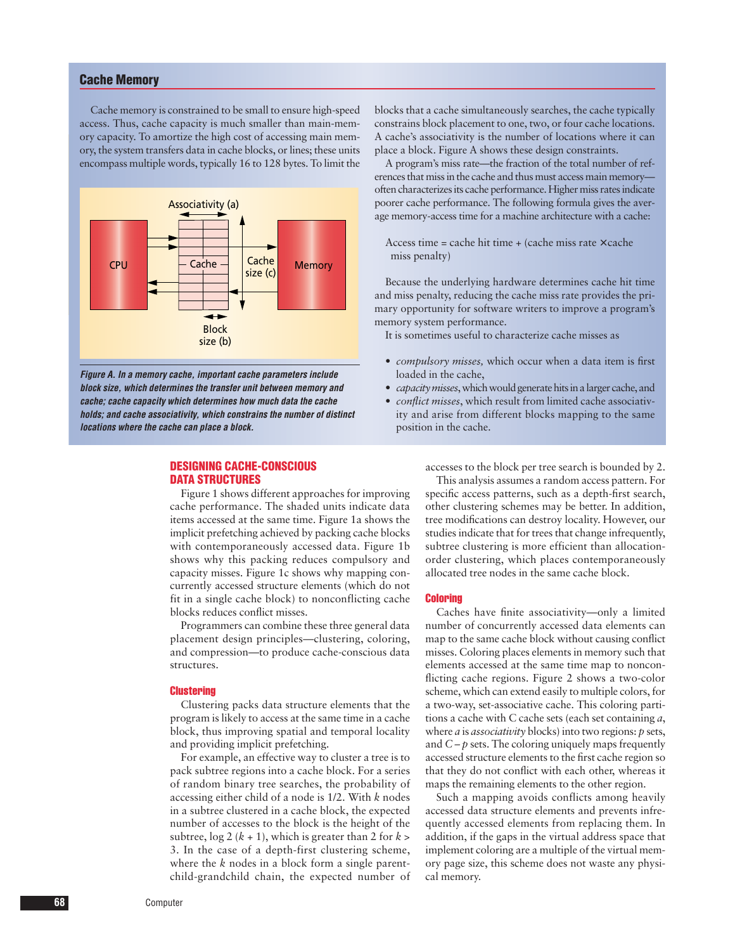# **Cache Memory**

Cache memory is constrained to be small to ensure high-speed access. Thus, cache capacity is much smaller than main-memory capacity. To amortize the high cost of accessing main memory, the system transfers data in cache blocks, or lines; these units encompass multiple words, typically 16 to 128 bytes. To limit the



*Figure A. In a memory cache, important cache parameters include block size, which determines the transfer unit between memory and cache; cache capacity which determines how much data the cache holds; and cache associativity, which constrains the number of distinct locations where the cache can place a block.*

# **DESIGNING CACHE-CONSCIOUS DATA STRUCTURES**

Figure 1 shows different approaches for improving cache performance. The shaded units indicate data items accessed at the same time. Figure 1a shows the implicit prefetching achieved by packing cache blocks with contemporaneously accessed data. Figure 1b shows why this packing reduces compulsory and capacity misses. Figure 1c shows why mapping concurrently accessed structure elements (which do not fit in a single cache block) to nonconflicting cache blocks reduces conflict misses.

Programmers can combine these three general data placement design principles—clustering, coloring, and compression—to produce cache-conscious data structures.

#### **Clustering**

Clustering packs data structure elements that the program is likely to access at the same time in a cache block, thus improving spatial and temporal locality and providing implicit prefetching.

For example, an effective way to cluster a tree is to pack subtree regions into a cache block. For a series of random binary tree searches, the probability of accessing either child of a node is 1/2. With *k* nodes in a subtree clustered in a cache block, the expected number of accesses to the block is the height of the subtree,  $\log 2 (k + 1)$ , which is greater than 2 for  $k >$ 3. In the case of a depth-first clustering scheme, where the *k* nodes in a block form a single parentchild-grandchild chain, the expected number of

blocks that a cache simultaneously searches, the cache typically constrains block placement to one, two, or four cache locations. A cache's associativity is the number of locations where it can place a block. Figure A shows these design constraints.

A program's miss rate—the fraction of the total number of references that miss in the cache and thus must access main memory often characterizes its cache performance. Higher miss rates indicate poorer cache performance. The following formula gives the average memory-access time for a machine architecture with a cache:

Access time = cache hit time + (cache miss rate  $\times$  cache miss penalty)

Because the underlying hardware determines cache hit time and miss penalty, reducing the cache miss rate provides the primary opportunity for software writers to improve a program's memory system performance.

It is sometimes useful to characterize cache misses as

- *compulsory misses,* which occur when a data item is first loaded in the cache,
- *capacity misses*, which would generate hits in a larger cache, and
- *conflict misses*, which result from limited cache associativity and arise from different blocks mapping to the same position in the cache.

accesses to the block per tree search is bounded by 2.

This analysis assumes a random access pattern. For specific access patterns, such as a depth-first search, other clustering schemes may be better. In addition, tree modifications can destroy locality. However, our studies indicate that for trees that change infrequently, subtree clustering is more efficient than allocationorder clustering, which places contemporaneously allocated tree nodes in the same cache block.

# Coloring

Caches have finite associativity—only a limited number of concurrently accessed data elements can map to the same cache block without causing conflict misses. Coloring places elements in memory such that elements accessed at the same time map to nonconflicting cache regions. Figure 2 shows a two-color scheme, which can extend easily to multiple colors, for a two-way, set-associative cache. This coloring partitions a cache with C cache sets (each set containing *a*, where *a* is *associativity* blocks) into two regions: *p* sets, and  $C-p$  sets. The coloring uniquely maps frequently accessed structure elements to the first cache region so that they do not conflict with each other, whereas it maps the remaining elements to the other region.

Such a mapping avoids conflicts among heavily accessed data structure elements and prevents infrequently accessed elements from replacing them. In addition, if the gaps in the virtual address space that implement coloring are a multiple of the virtual memory page size, this scheme does not waste any physical memory.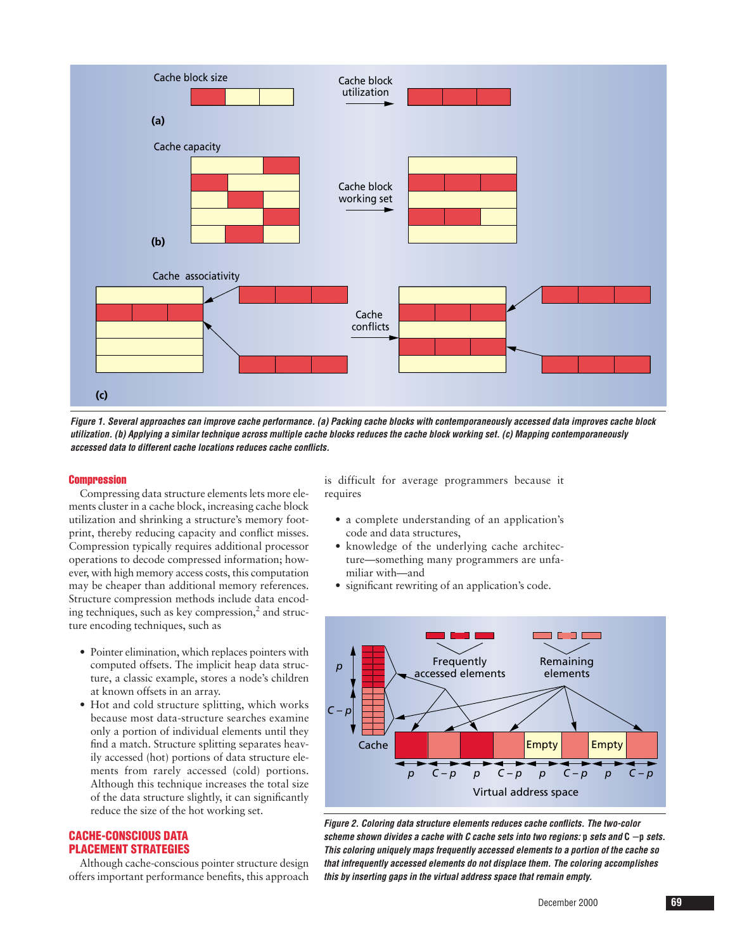

*Figure 1. Several approaches can improve cache performance. (a) Packing cache blocks with contemporaneously accessed data improves cache block utilization. (b) Applying a similar technique across multiple cache blocks reduces the cache block working set. (c) Mapping contemporaneously accessed data to different cache locations reduces cache conflicts.*

#### **Compression**

Compressing data structure elements lets more elements cluster in a cache block, increasing cache block utilization and shrinking a structure's memory footprint, thereby reducing capacity and conflict misses. Compression typically requires additional processor operations to decode compressed information; however, with high memory access costs, this computation may be cheaper than additional memory references. Structure compression methods include data encoding techniques, such as key compression, $<sup>2</sup>$  and struc-</sup> ture encoding techniques, such as

- Pointer elimination, which replaces pointers with computed offsets. The implicit heap data structure, a classic example, stores a node's children at known offsets in an array.
- Hot and cold structure splitting, which works because most data-structure searches examine only a portion of individual elements until they find a match. Structure splitting separates heavily accessed (hot) portions of data structure elements from rarely accessed (cold) portions. Although this technique increases the total size of the data structure slightly, it can significantly reduce the size of the hot working set.

# **CACHE-CONSCIOUS DATA PLACEMENT STRATEGIES**

Although cache-conscious pointer structure design offers important performance benefits, this approach

is difficult for average programmers because it requires

- a complete understanding of an application's code and data structures,
- knowledge of the underlying cache architecture—something many programmers are unfamiliar with—and
- significant rewriting of an application's code.



*Figure 2. Coloring data structure elements reduces cache conflicts. The two-color scheme shown divides a cache with C cache sets into two regions:* **p** *sets and* **C** − **p** *sets. This coloring uniquely maps frequently accessed elements to a portion of the cache so that infrequently accessed elements do not displace them. The coloring accomplishes this by inserting gaps in the virtual address space that remain empty.*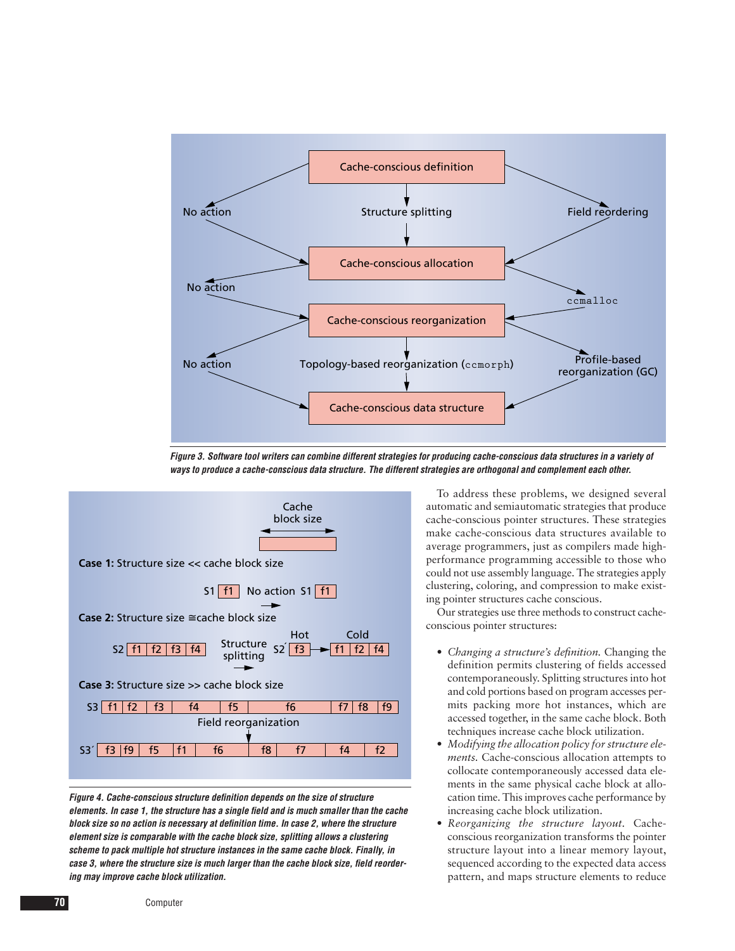

*Figure 3. Software tool writers can combine different strategies for producing cache-conscious data structures in a variety of ways to produce a cache-conscious data structure. The different strategies are orthogonal and complement each other.*



*Figure 4. Cache-conscious structure definition depends on the size of structure elements. In case 1, the structure has a single field and is much smaller than the cache block size so no action is necessary at definition time. In case 2, where the structure element size is comparable with the cache block size, splitting allows a clustering scheme to pack multiple hot structure instances in the same cache block. Finally, in case 3, where the structure size is much larger than the cache block size, field reordering may improve cache block utilization.*

To address these problems, we designed several automatic and semiautomatic strategies that produce cache-conscious pointer structures. These strategies make cache-conscious data structures available to average programmers, just as compilers made highperformance programming accessible to those who could not use assembly language. The strategies apply clustering, coloring, and compression to make existing pointer structures cache conscious.

Our strategies use three methods to construct cacheconscious pointer structures:

- *Changing a structure's definition.* Changing the definition permits clustering of fields accessed contemporaneously. Splitting structures into hot and cold portions based on program accesses permits packing more hot instances, which are accessed together, in the same cache block. Both techniques increase cache block utilization.
- *Modifying the allocation policy for structure elements.* Cache-conscious allocation attempts to collocate contemporaneously accessed data elements in the same physical cache block at allocation time. This improves cache performance by increasing cache block utilization.
- *Reorganizing the structure layout.* Cacheconscious reorganization transforms the pointer structure layout into a linear memory layout, sequenced according to the expected data access pattern, and maps structure elements to reduce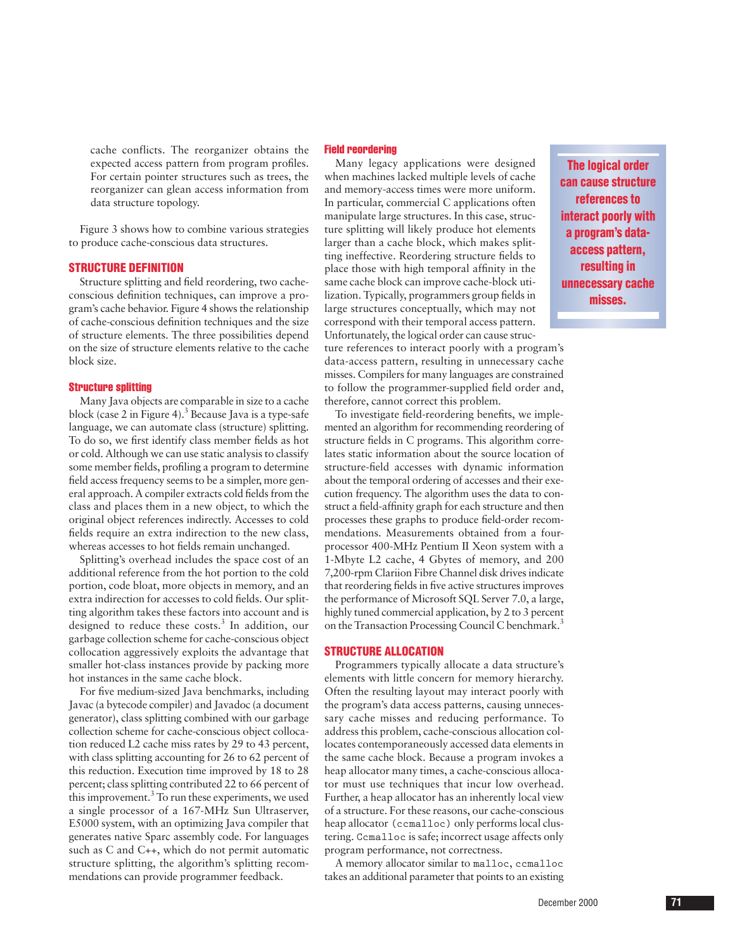cache conflicts. The reorganizer obtains the expected access pattern from program profiles. For certain pointer structures such as trees, the reorganizer can glean access information from data structure topology.

Figure 3 shows how to combine various strategies to produce cache-conscious data structures.

# **STRUCTURE DEFINITION**

Structure splitting and field reordering, two cacheconscious definition techniques, can improve a program's cache behavior. Figure 4 shows the relationship of cache-conscious definition techniques and the size of structure elements. The three possibilities depend on the size of structure elements relative to the cache block size.

#### Structure splitting

Many Java objects are comparable in size to a cache block (case 2 in Figure 4).<sup>3</sup> Because Java is a type-safe language, we can automate class (structure) splitting. To do so, we first identify class member fields as hot or cold. Although we can use static analysis to classify some member fields, profiling a program to determine field access frequency seems to be a simpler, more general approach. A compiler extracts cold fields from the class and places them in a new object, to which the original object references indirectly. Accesses to cold fields require an extra indirection to the new class, whereas accesses to hot fields remain unchanged.

Splitting's overhead includes the space cost of an additional reference from the hot portion to the cold portion, code bloat, more objects in memory, and an extra indirection for accesses to cold fields. Our splitting algorithm takes these factors into account and is designed to reduce these costs.<sup>3</sup> In addition, our garbage collection scheme for cache-conscious object collocation aggressively exploits the advantage that smaller hot-class instances provide by packing more hot instances in the same cache block.

For five medium-sized Java benchmarks, including Javac (a bytecode compiler) and Javadoc (a document generator), class splitting combined with our garbage collection scheme for cache-conscious object collocation reduced L2 cache miss rates by 29 to 43 percent, with class splitting accounting for 26 to 62 percent of this reduction. Execution time improved by 18 to 28 percent; class splitting contributed 22 to 66 percent of this improvement. $3$  To run these experiments, we used a single processor of a 167-MHz Sun Ultraserver, E5000 system, with an optimizing Java compiler that generates native Sparc assembly code. For languages such as C and C++, which do not permit automatic structure splitting, the algorithm's splitting recommendations can provide programmer feedback.

#### Field reordering

Many legacy applications were designed when machines lacked multiple levels of cache and memory-access times were more uniform. In particular, commercial C applications often manipulate large structures. In this case, structure splitting will likely produce hot elements larger than a cache block, which makes splitting ineffective. Reordering structure fields to place those with high temporal affinity in the same cache block can improve cache-block utilization. Typically, programmers group fields in large structures conceptually, which may not correspond with their temporal access pattern. Unfortunately, the logical order can cause struc-

ture references to interact poorly with a program's data-access pattern, resulting in unnecessary cache misses. Compilers for many languages are constrained to follow the programmer-supplied field order and, therefore, cannot correct this problem.

To investigate field-reordering benefits, we implemented an algorithm for recommending reordering of structure fields in C programs. This algorithm correlates static information about the source location of structure-field accesses with dynamic information about the temporal ordering of accesses and their execution frequency. The algorithm uses the data to construct a field-affinity graph for each structure and then processes these graphs to produce field-order recommendations. Measurements obtained from a fourprocessor 400-MHz Pentium II Xeon system with a 1-Mbyte L2 cache, 4 Gbytes of memory, and 200 7,200-rpm Clariion Fibre Channel disk drives indicate that reordering fields in five active structures improves the performance of Microsoft SQL Server 7.0, a large, highly tuned commercial application, by 2 to 3 percent on the Transaction Processing Council C benchmark.<sup>3</sup>

## **STRUCTURE ALLOCATION**

Programmers typically allocate a data structure's elements with little concern for memory hierarchy. Often the resulting layout may interact poorly with the program's data access patterns, causing unnecessary cache misses and reducing performance. To address this problem, cache-conscious allocation collocates contemporaneously accessed data elements in the same cache block. Because a program invokes a heap allocator many times, a cache-conscious allocator must use techniques that incur low overhead. Further, a heap allocator has an inherently local view of a structure. For these reasons, our cache-conscious heap allocator **(ccmalloc)** only performs local clustering. **Ccmalloc** is safe; incorrect usage affects only program performance, not correctness.

A memory allocator similar to **malloc**, **ccmalloc** takes an additional parameter that points to an existing

**The logical order can cause structure references to interact poorly with a program's dataaccess pattern, resulting in unnecessary cache misses.**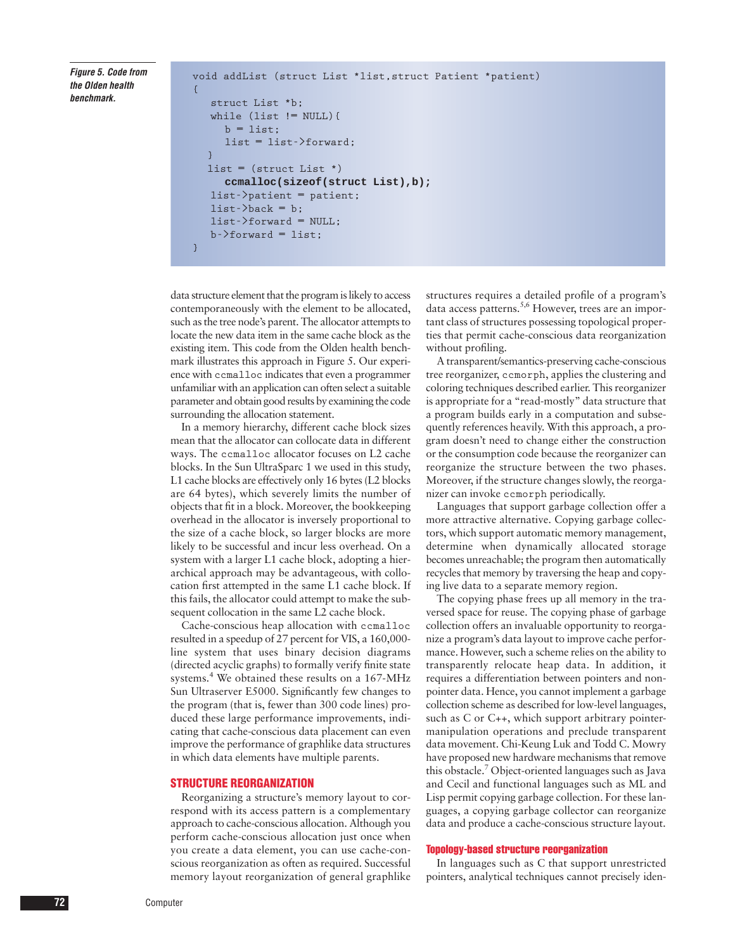*Figure 5. Code from the Olden health benchmark.*

```
void addList (struct List *list,struct Patient *patient)
{
   struct List *b;
   while (list != NULL){
     b = list;
     list = list->forward;
  }
  list = (struct List *)
     ccmalloc(sizeof(struct List),b);
   list->patient = patient;
   list->back = b;
   list->forward = NULL;
   b->forward = list;
}
```
data structure element that the program is likely to access contemporaneously with the element to be allocated, such as the tree node's parent. The allocator attempts to locate the new data item in the same cache block as the existing item. This code from the Olden health benchmark illustrates this approach in Figure 5. Our experience with **ccmalloc** indicates that even a programmer unfamiliar with an application can often select a suitable parameter and obtain good results by examining the code surrounding the allocation statement.

In a memory hierarchy, different cache block sizes mean that the allocator can collocate data in different ways. The **ccmalloc** allocator focuses on L2 cache blocks. In the Sun UltraSparc 1 we used in this study, L1 cache blocks are effectively only 16 bytes (L2 blocks are 64 bytes), which severely limits the number of objects that fit in a block. Moreover, the bookkeeping overhead in the allocator is inversely proportional to the size of a cache block, so larger blocks are more likely to be successful and incur less overhead. On a system with a larger L1 cache block, adopting a hierarchical approach may be advantageous, with collocation first attempted in the same L1 cache block. If this fails, the allocator could attempt to make the subsequent collocation in the same L2 cache block.

Cache-conscious heap allocation with **ccmalloc** resulted in a speedup of 27 percent for VIS, a 160,000 line system that uses binary decision diagrams (directed acyclic graphs) to formally verify finite state systems.<sup>4</sup> We obtained these results on a 167-MHz Sun Ultraserver E5000. Significantly few changes to the program (that is, fewer than 300 code lines) produced these large performance improvements, indicating that cache-conscious data placement can even improve the performance of graphlike data structures in which data elements have multiple parents.

#### **STRUCTURE REORGANIZATION**

Reorganizing a structure's memory layout to correspond with its access pattern is a complementary approach to cache-conscious allocation. Although you perform cache-conscious allocation just once when you create a data element, you can use cache-conscious reorganization as often as required. Successful memory layout reorganization of general graphlike structures requires a detailed profile of a program's data access patterns.<sup>5,6</sup> However, trees are an important class of structures possessing topological properties that permit cache-conscious data reorganization without profiling.

A transparent/semantics-preserving cache-conscious tree reorganizer, **ccmorph**, applies the clustering and coloring techniques described earlier. This reorganizer is appropriate for a "read-mostly" data structure that a program builds early in a computation and subsequently references heavily. With this approach, a program doesn't need to change either the construction or the consumption code because the reorganizer can reorganize the structure between the two phases. Moreover, if the structure changes slowly, the reorganizer can invoke **ccmorph** periodically.

Languages that support garbage collection offer a more attractive alternative. Copying garbage collectors, which support automatic memory management, determine when dynamically allocated storage becomes unreachable; the program then automatically recycles that memory by traversing the heap and copying live data to a separate memory region.

The copying phase frees up all memory in the traversed space for reuse. The copying phase of garbage collection offers an invaluable opportunity to reorganize a program's data layout to improve cache performance. However, such a scheme relies on the ability to transparently relocate heap data. In addition, it requires a differentiation between pointers and nonpointer data. Hence, you cannot implement a garbage collection scheme as described for low-level languages, such as C or C++, which support arbitrary pointermanipulation operations and preclude transparent data movement. Chi-Keung Luk and Todd C. Mowry have proposed new hardware mechanisms that remove this obstacle.7 Object-oriented languages such as Java and Cecil and functional languages such as ML and Lisp permit copying garbage collection. For these languages, a copying garbage collector can reorganize data and produce a cache-conscious structure layout.

# Topology-based structure reorganization

In languages such as C that support unrestricted pointers, analytical techniques cannot precisely iden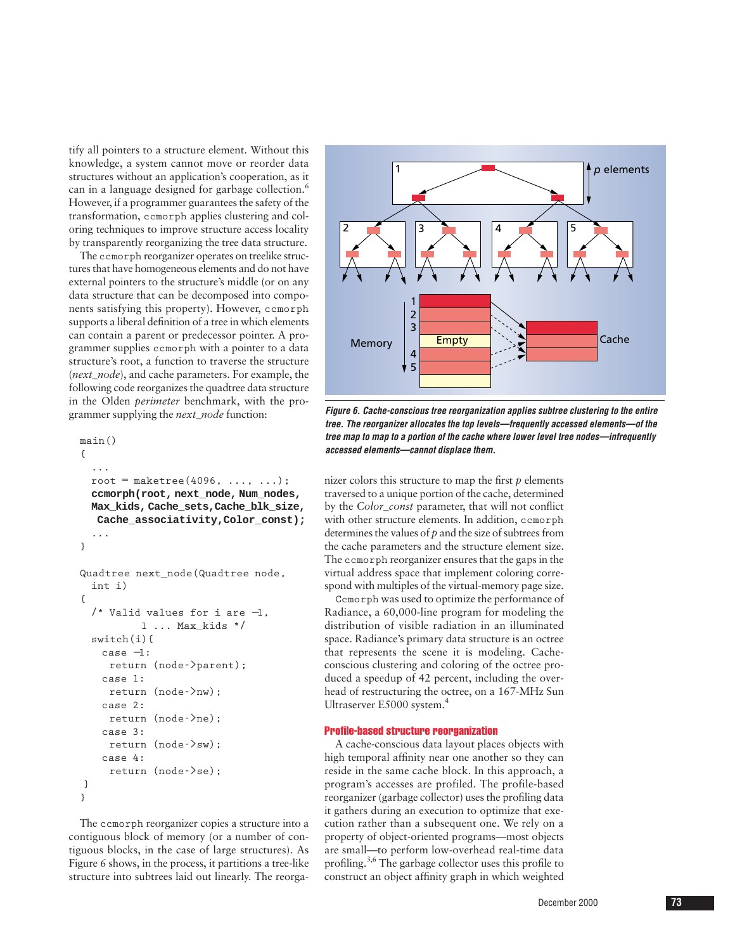tify all pointers to a structure element. Without this knowledge, a system cannot move or reorder data structures without an application's cooperation, as it can in a language designed for garbage collection.<sup>6</sup> However, if a programmer guarantees the safety of the transformation, **ccmorph** applies clustering and coloring techniques to improve structure access locality by transparently reorganizing the tree data structure.

The **ccmorph** reorganizer operates on treelike structures that have homogeneous elements and do not have external pointers to the structure's middle (or on any data structure that can be decomposed into components satisfying this property). However, **ccmorph** supports a liberal definition of a tree in which elements can contain a parent or predecessor pointer. A programmer supplies **ccmorph** with a pointer to a data structure's root, a function to traverse the structure (*next\_node*), and cache parameters. For example, the following code reorganizes the quadtree data structure in the Olden *perimeter* benchmark, with the programmer supplying the *next\_node* function:

```
main()
{
  ...
  root = maketree(4096, ..., ...);
  ccmorph(root, next_node, Num_nodes,
  Max_kids, Cache_sets,Cache_blk_size,
   Cache_associativity,Color_const);
  ...
}
Quadtree next_node(Quadtree node, 
  int i)
{
  /* Valid values for i are −1,
          1 ... Max_kids */
  switch(i){
   case −1:
     return (node->parent);
    case 1:
     return (node->nw);
   case 2:
     return (node->ne);
    case 3:
     return (node->sw);
    case 4:
     return (node->se);
}
}
```
The **ccmorph** reorganizer copies a structure into a contiguous block of memory (or a number of contiguous blocks, in the case of large structures). As Figure 6 shows, in the process, it partitions a tree-like structure into subtrees laid out linearly. The reorga-



*Figure 6. Cache-conscious tree reorganization applies subtree clustering to the entire tree. The reorganizer allocates the top levels—frequently accessed elements—of the tree map to map to a portion of the cache where lower level tree nodes—infrequently accessed elements—cannot displace them.*

nizer colors this structure to map the first *p* elements traversed to a unique portion of the cache, determined by the *Color\_const* parameter, that will not conflict with other structure elements. In addition, **ccmorph** determines the values of *p* and the size of subtrees from the cache parameters and the structure element size. The **ccmorph** reorganizer ensures that the gaps in the virtual address space that implement coloring correspond with multiples of the virtual-memory page size.

**Ccmorph** was used to optimize the performance of Radiance, a 60,000-line program for modeling the distribution of visible radiation in an illuminated space. Radiance's primary data structure is an octree that represents the scene it is modeling. Cacheconscious clustering and coloring of the octree produced a speedup of 42 percent, including the overhead of restructuring the octree, on a 167-MHz Sun Ultraserver E5000 system.4

#### Profile-based structure reorganization

A cache-conscious data layout places objects with high temporal affinity near one another so they can reside in the same cache block. In this approach, a program's accesses are profiled. The profile-based reorganizer (garbage collector) uses the profiling data it gathers during an execution to optimize that execution rather than a subsequent one. We rely on a property of object-oriented programs—most objects are small—to perform low-overhead real-time data profiling.<sup>3,6</sup> The garbage collector uses this profile to construct an object affinity graph in which weighted